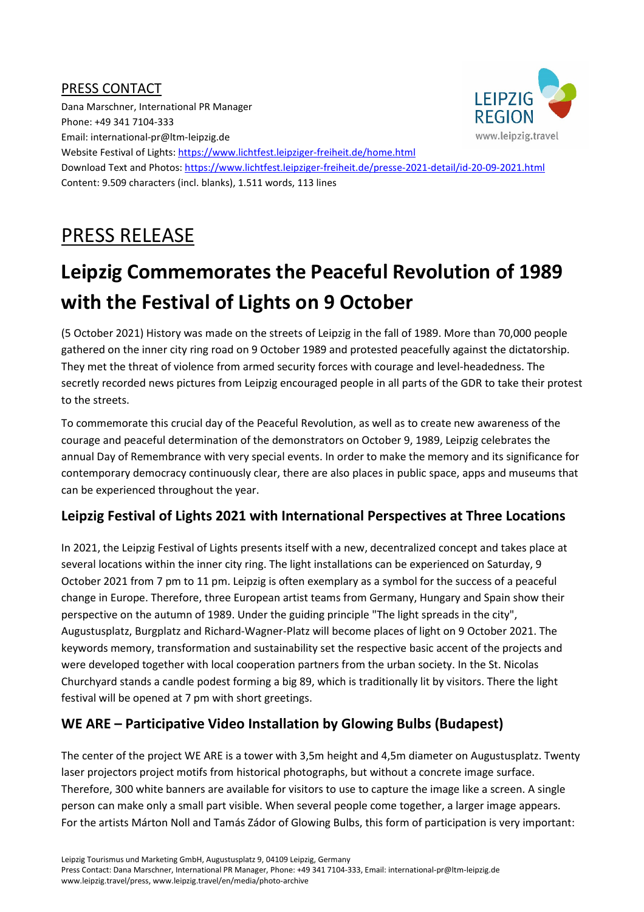#### PRESS CONTACT

**LEIPZIG REGION** www.leipzig.travel

Dana Marschner, International PR Manager Phone: +49 341 7104-333 Email: international-pr@ltm-leipzig.de Website Festival of Lights: https://www.lichtfest.leipziger-freiheit.de/home.html Download Text and Photos: https://www.lichtfest.leipziger-freiheit.de/presse-2021-detail/id-20-09-2021.html Content: 9.509 characters (incl. blanks), 1.511 words, 113 lines

## PRESS RELEASE

# **Leipzig Commemorates the Peaceful Revolution of 1989 with the Festival of Lights on 9 October**

(5 October 2021) History was made on the streets of Leipzig in the fall of 1989. More than 70,000 people gathered on the inner city ring road on 9 October 1989 and protested peacefully against the dictatorship. They met the threat of violence from armed security forces with courage and level-headedness. The secretly recorded news pictures from Leipzig encouraged people in all parts of the GDR to take their protest to the streets.

To commemorate this crucial day of the Peaceful Revolution, as well as to create new awareness of the courage and peaceful determination of the demonstrators on October 9, 1989, Leipzig celebrates the annual Day of Remembrance with very special events. In order to make the memory and its significance for contemporary democracy continuously clear, there are also places in public space, apps and museums that can be experienced throughout the year.

### **Leipzig Festival of Lights 2021 with International Perspectives at Three Locations**

In 2021, the Leipzig Festival of Lights presents itself with a new, decentralized concept and takes place at several locations within the inner city ring. The light installations can be experienced on Saturday, 9 October 2021 from 7 pm to 11 pm. Leipzig is often exemplary as a symbol for the success of a peaceful change in Europe. Therefore, three European artist teams from Germany, Hungary and Spain show their perspective on the autumn of 1989. Under the guiding principle "The light spreads in the city", Augustusplatz, Burgplatz and Richard-Wagner-Platz will become places of light on 9 October 2021. The keywords memory, transformation and sustainability set the respective basic accent of the projects and were developed together with local cooperation partners from the urban society. In the St. Nicolas Churchyard stands a candle podest forming a big 89, which is traditionally lit by visitors. There the light festival will be opened at 7 pm with short greetings.

### **WE ARE – Participative Video Installation by Glowing Bulbs (Budapest)**

The center of the project WE ARE is a tower with 3,5m height and 4,5m diameter on Augustusplatz. Twenty laser projectors project motifs from historical photographs, but without a concrete image surface. Therefore, 300 white banners are available for visitors to use to capture the image like a screen. A single person can make only a small part visible. When several people come together, a larger image appears. For the artists Márton Noll and Tamás Zádor of Glowing Bulbs, this form of participation is very important: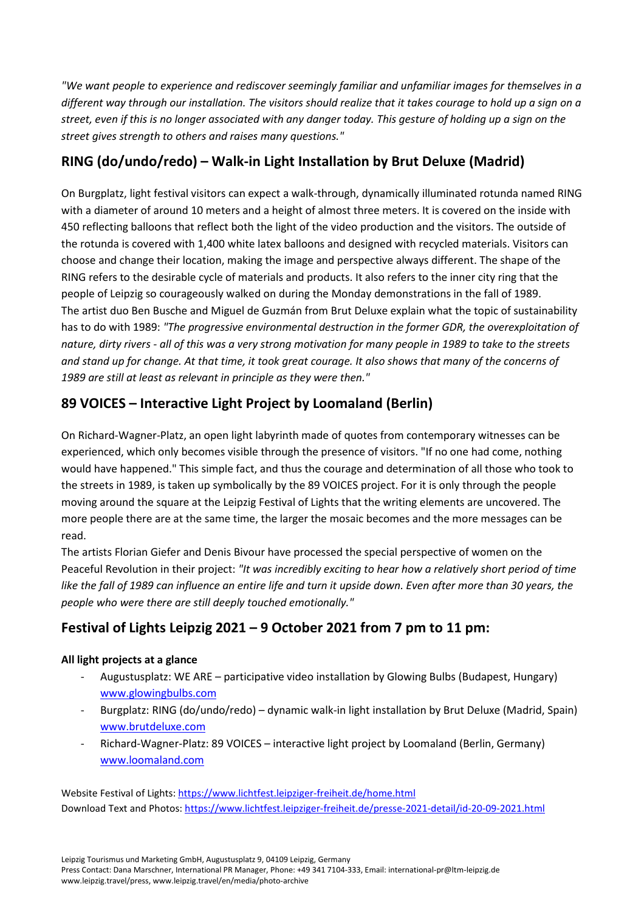*"We want people to experience and rediscover seemingly familiar and unfamiliar images for themselves in a different way through our installation. The visitors should realize that it takes courage to hold up a sign on a street, even if this is no longer associated with any danger today. This gesture of holding up a sign on the street gives strength to others and raises many questions."* 

### **RING (do/undo/redo) – Walk-in Light Installation by Brut Deluxe (Madrid)**

On Burgplatz, light festival visitors can expect a walk-through, dynamically illuminated rotunda named RING with a diameter of around 10 meters and a height of almost three meters. It is covered on the inside with 450 reflecting balloons that reflect both the light of the video production and the visitors. The outside of the rotunda is covered with 1,400 white latex balloons and designed with recycled materials. Visitors can choose and change their location, making the image and perspective always different. The shape of the RING refers to the desirable cycle of materials and products. It also refers to the inner city ring that the people of Leipzig so courageously walked on during the Monday demonstrations in the fall of 1989. The artist duo Ben Busche and Miguel de Guzmán from Brut Deluxe explain what the topic of sustainability has to do with 1989: *"The progressive environmental destruction in the former GDR, the overexploitation of nature, dirty rivers - all of this was a very strong motivation for many people in 1989 to take to the streets and stand up for change. At that time, it took great courage. It also shows that many of the concerns of 1989 are still at least as relevant in principle as they were then."*

#### **89 VOICES – Interactive Light Project by Loomaland (Berlin)**

On Richard-Wagner-Platz, an open light labyrinth made of quotes from contemporary witnesses can be experienced, which only becomes visible through the presence of visitors. "If no one had come, nothing would have happened." This simple fact, and thus the courage and determination of all those who took to the streets in 1989, is taken up symbolically by the 89 VOICES project. For it is only through the people moving around the square at the Leipzig Festival of Lights that the writing elements are uncovered. The more people there are at the same time, the larger the mosaic becomes and the more messages can be read.

The artists Florian Giefer and Denis Bivour have processed the special perspective of women on the Peaceful Revolution in their project: *"It was incredibly exciting to hear how a relatively short period of time like the fall of 1989 can influence an entire life and turn it upside down. Even after more than 30 years, the people who were there are still deeply touched emotionally."* 

### **Festival of Lights Leipzig 2021 – 9 October 2021 from 7 pm to 11 pm:**

#### **All light projects at a glance**

- Augustusplatz: WE ARE participative video installation by Glowing Bulbs (Budapest, Hungary) www.glowingbulbs.com
- Burgplatz: RING (do/undo/redo) dynamic walk-in light installation by Brut Deluxe (Madrid, Spain) www.brutdeluxe.com
- Richard-Wagner-Platz: 89 VOICES interactive light project by Loomaland (Berlin, Germany) www.loomaland.com

Website Festival of Lights: https://www.lichtfest.leipziger-freiheit.de/home.html Download Text and Photos: https://www.lichtfest.leipziger-freiheit.de/presse-2021-detail/id-20-09-2021.html